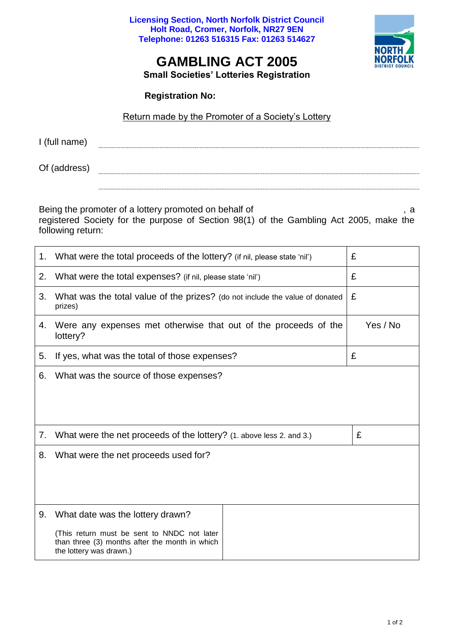**Licensing Section, North Norfolk District Council Holt Road, Cromer, Norfolk, NR27 9EN Telephone: 01263 516315 Fax: 01263 514627**



## **GAMBLING ACT 2005**

**Small Societies' Lotteries Registration**

**Registration No:** 

## Return made by the Promoter of a Society's Lottery

| I (full name)               |  |  |  |  |  |
|-----------------------------|--|--|--|--|--|
|                             |  |  |  |  |  |
|                             |  |  |  |  |  |
|                             |  |  |  |  |  |
| $\sim$ $\sim$ $\sim$<br>. . |  |  |  |  |  |

Of (address) 

Being the promoter of a lottery promoted on behalf of  $\qquad \qquad$ , a

registered Society for the purpose of Section 98(1) of the Gambling Act 2005, make the following return:

| 1. | What were the total proceeds of the lottery? (if nil, please state 'nil')                                                                                    | £        |
|----|--------------------------------------------------------------------------------------------------------------------------------------------------------------|----------|
| 2. | What were the total expenses? (if nil, please state 'nil')                                                                                                   | £        |
| 3. | What was the total value of the prizes? (do not include the value of donated<br>prizes)                                                                      | £        |
| 4. | Were any expenses met otherwise that out of the proceeds of the<br>lottery?                                                                                  | Yes / No |
| 5. | If yes, what was the total of those expenses?                                                                                                                | £        |
| 6. | What was the source of those expenses?                                                                                                                       |          |
| 7. | What were the net proceeds of the lottery? (1. above less 2. and 3.)                                                                                         | £        |
| 8. | What were the net proceeds used for?                                                                                                                         |          |
| 9. | What date was the lottery drawn?<br>(This return must be sent to NNDC not later<br>than three (3) months after the month in which<br>the lottery was drawn.) |          |
|    |                                                                                                                                                              |          |